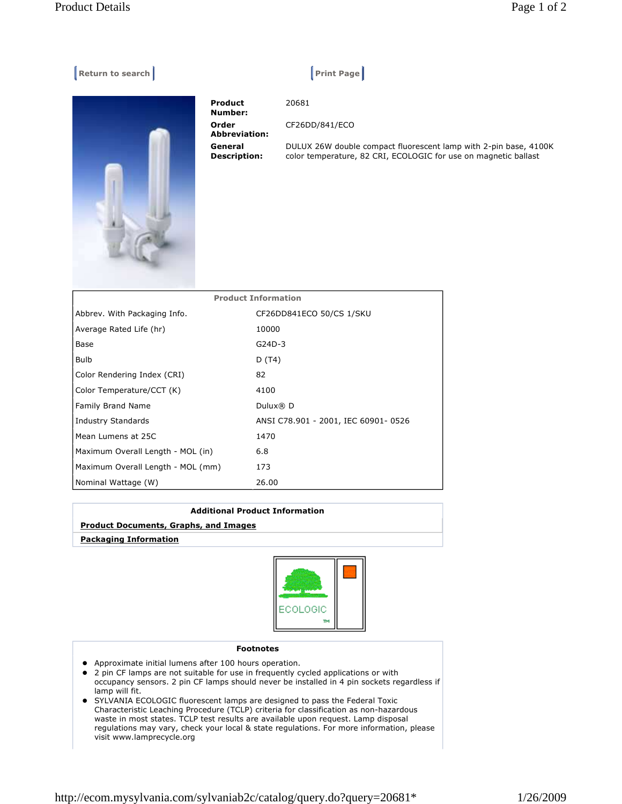## **Example 2 Return to search Allen Contract Contract Contract Contract Contract Contract Contract Contract Contract Contract Contract Contract Contract Contract Contract Contract Contract Contract Contract Contract Contract**

**Number: Order Abbrevia General Descripti** 

**Product** 

|        | 20681                                                                                                                               |
|--------|-------------------------------------------------------------------------------------------------------------------------------------|
| ıtion: | CF26DD/841/ECO                                                                                                                      |
| ion:   | DULUX 26W double compact fluorescent lamp with 2-pin base, 4100K<br>color temperature, 82 CRI, ECOLOGIC for use on magnetic ballast |

| <b>Product Information</b>        |                                     |  |  |
|-----------------------------------|-------------------------------------|--|--|
| Abbrev. With Packaging Info.      | CF26DD841ECO 50/CS 1/SKU            |  |  |
| Average Rated Life (hr)           | 10000                               |  |  |
| Base                              | $G24D-3$                            |  |  |
| <b>Bulb</b>                       | D (T4)                              |  |  |
| Color Rendering Index (CRI)       | 82                                  |  |  |
| Color Temperature/CCT (K)         | 4100                                |  |  |
| Family Brand Name                 | Dulux $\mathbb{R}$ D                |  |  |
| Industry Standards                | ANSI C78.901 - 2001, IEC 60901-0526 |  |  |
| Mean Lumens at 25C                | 1470                                |  |  |
| Maximum Overall Length - MOL (in) | 6.8                                 |  |  |
| Maximum Overall Length - MOL (mm) | 173                                 |  |  |
| Nominal Wattage (W)               | 26.00                               |  |  |

## **Additional Product Information**

## **Product Documents, Graphs, and Images**

 **Packaging Information**



## **Footnotes**

- Approximate initial lumens after 100 hours operation.
- 2 pin CF lamps are not suitable for use in frequently cycled applications or with occupancy sensors. 2 pin CF lamps should never be installed in 4 pin sockets regardless if lamp will fit.
- SYLVANIA ECOLOGIC fluorescent lamps are designed to pass the Federal Toxic Characteristic Leaching Procedure (TCLP) criteria for classification as non-hazardous waste in most states. TCLP test results are available upon request. Lamp disposal regulations may vary, check your local & state regulations. For more information, please visit www.lamprecycle.org